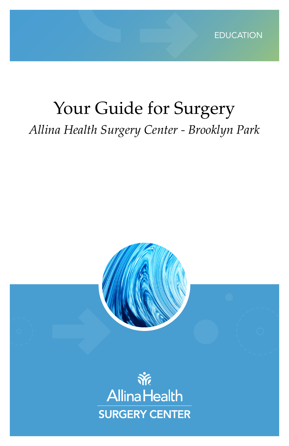

# Your Guide for Surgery *Allina Health Surgery Center - Brooklyn Park*

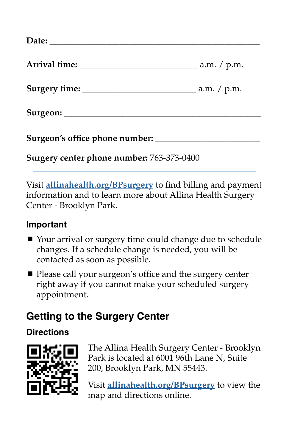| Surgery center phone number: 763-373-0400 |  |
|-------------------------------------------|--|

Visit **[allinahealth.org/BPsurgery](https://account.allinahealth.org/locations/1979)** to find billing and payment information and to learn more about Allina Health Surgery Center - Brooklyn Park.

#### **Important**

- Your arrival or surgery time could change due to schedule changes. If a schedule change is needed, you will be contacted as soon as possible.
- Please call your surgeon's office and the surgery center right away if you cannot make your scheduled surgery appointment.

# **Getting to the Surgery Center**

#### **Directions**



The Allina Health Surgery Center - Brooklyn Park is located at 6001 96th Lane N, Suite 200, Brooklyn Park, MN 55443.

Visit **[allinahealth.org/BPsurgery](https://account.allinahealth.org/locations/1979)** to view the map and directions online.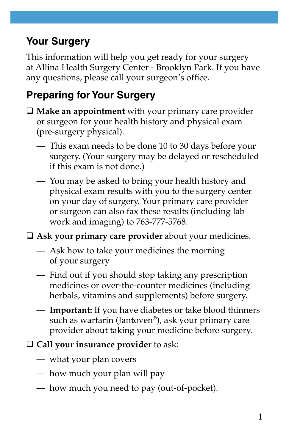# **Your Surgery**

This information will help you get ready for your surgery at Allina Health Surgery Center - Brooklyn Park. If you have any questions, please call your surgeon's office.

# **Preparing for Your Surgery**

- **Make an appointment** with your primary care provider or surgeon for your health history and physical exam (pre-surgery physical).
	- This exam needs to be done 10 to 30 days before your surgery. (Your surgery may be delayed or rescheduled if this exam is not done.)
	- You may be asked to bring your health history and physical exam results with you to the surgery center on your day of surgery. Your primary care provider or surgeon can also fax these results (including lab work and imaging) to 763-777-5768.

**Ask your primary care provider** about your medicines.

- Ask how to take your medicines the morning of your surgery
- Find out if you should stop taking any prescription medicines or over-the-counter medicines (including herbals, vitamins and supplements) before surgery.
- **Important:** If you have diabetes or take blood thinners such as warfarin (Jantoven®), ask your primary care provider about taking your medicine before surgery.
- **Call your insurance provider** to ask:
	- what your plan covers
	- how much your plan will pay
	- how much you need to pay (out-of-pocket).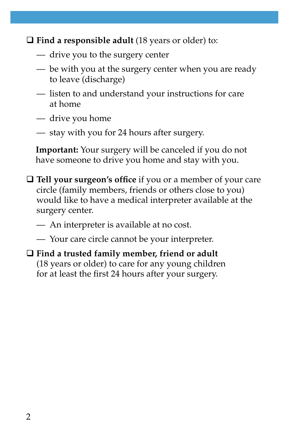**Find a responsible adult** (18 years or older) to:

- drive you to the surgery center
- be with you at the surgery center when you are ready to leave (discharge)
- listen to and understand your instructions for care at home
- drive you home
- stay with you for 24 hours after surgery.

**Important:** Your surgery will be canceled if you do not have someone to drive you home and stay with you.

- **Tell your surgeon's office** if you or a member of your care circle (family members, friends or others close to you) would like to have a medical interpreter available at the surgery center.
	- An interpreter is available at no cost.
	- Your care circle cannot be your interpreter.
- **Find a trusted family member, friend or adult**  (18 years or older) to care for any young children for at least the first 24 hours after your surgery.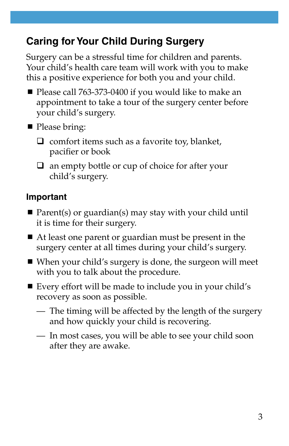# **Caring for Your Child During Surgery**

Surgery can be a stressful time for children and parents. Your child's health care team will work with you to make this a positive experience for both you and your child.

- Please call 763-373-0400 if you would like to make an appointment to take a tour of the surgery center before your child's surgery.
- Please bring:
	- $\Box$  comfort items such as a favorite toy, blanket, pacifier or book
	- $\Box$  an empty bottle or cup of choice for after your child's surgery.

#### **Important**

- Parent(s) or guardian(s) may stay with your child until it is time for their surgery.
- At least one parent or guardian must be present in the surgery center at all times during your child's surgery.
- When your child's surgery is done, the surgeon will meet with you to talk about the procedure.
- Every effort will be made to include you in your child's recovery as soon as possible.
	- The timing will be affected by the length of the surgery and how quickly your child is recovering.
	- In most cases, you will be able to see your child soon after they are awake.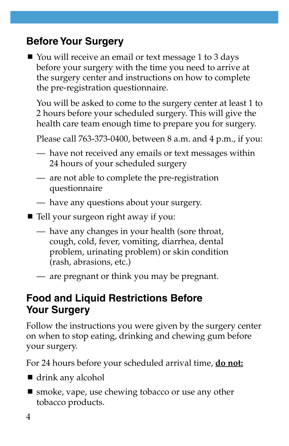# **Before Your Surgery**

■ You will receive an email or text message 1 to 3 days before your surgery with the time you need to arrive at the surgery center and instructions on how to complete the pre-registration questionnaire.

You will be asked to come to the surgery center at least 1 to 2 hours before your scheduled surgery. This will give the health care team enough time to prepare you for surgery.

Please call 763-373-0400, between 8 a.m. and 4 p.m., if you:

- have not received any emails or text messages within 24 hours of your scheduled surgery
- are not able to complete the pre-registration questionnaire
- have any questions about your surgery.
- Tell your surgeon right away if you:
	- have any changes in your health (sore throat, cough, cold, fever, vomiting, diarrhea, dental problem, urinating problem) or skin condition (rash, abrasions, etc.)
	- are pregnant or think you may be pregnant.

## **Food and Liquid Restrictions Before Your Surgery**

Follow the instructions you were given by the surgery center on when to stop eating, drinking and chewing gum before your surgery.

For 24 hours before your scheduled arrival time, **do not:**

- drink any alcohol
- smoke, vape, use chewing tobacco or use any other tobacco products.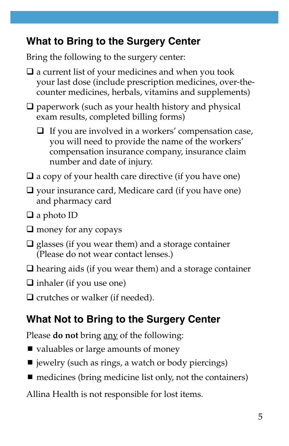# **What to Bring to the Surgery Center**

Bring the following to the surgery center:

- $\square$  a current list of your medicines and when you took your last dose (include prescription medicines, over-thecounter medicines, herbals, vitamins and supplements)
- $\Box$  paperwork (such as your health history and physical exam results, completed billing forms)
	- $\Box$  If you are involved in a workers' compensation case, you will need to provide the name of the workers' compensation insurance company, insurance claim number and date of injury.
- $\Box$  a copy of your health care directive (if you have one)
- $\Box$  your insurance card, Medicare card (if you have one) and pharmacy card
- $\Box$  a photo ID
- $\square$  money for any copays
- $\Box$  glasses (if you wear them) and a storage container (Please do not wear contact lenses.)
- $\Box$  hearing aids (if you wear them) and a storage container
- $\Box$  inhaler (if you use one)
- $\Box$  crutches or walker (if needed).

# **What Not to Bring to the Surgery Center**

Please **do not** bring any of the following:

- $\blacksquare$  valuables or large amounts of money
- $\blacksquare$  jewelry (such as rings, a watch or body piercings)
- $\blacksquare$  medicines (bring medicine list only, not the containers)

Allina Health is not responsible for lost items.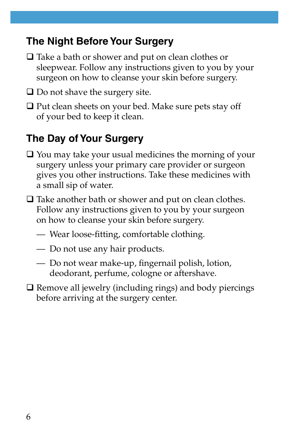## **The Night Before Your Surgery**

- $\Box$  Take a bath or shower and put on clean clothes or sleepwear. Follow any instructions given to you by your surgeon on how to cleanse your skin before surgery.
- $\Box$  Do not shave the surgery site.
- $\Box$  Put clean sheets on your bed. Make sure pets stay off of your bed to keep it clean.

# **The Day of Your Surgery**

- $\Box$  You may take your usual medicines the morning of your surgery unless your primary care provider or surgeon gives you other instructions. Take these medicines with a small sip of water.
- $\Box$  Take another bath or shower and put on clean clothes. Follow any instructions given to you by your surgeon on how to cleanse your skin before surgery.
	- Wear loose-fitting, comfortable clothing.
	- Do not use any hair products.
	- Do not wear make-up, fingernail polish, lotion, deodorant, perfume, cologne or aftershave.
- $\square$  Remove all jewelry (including rings) and body piercings before arriving at the surgery center.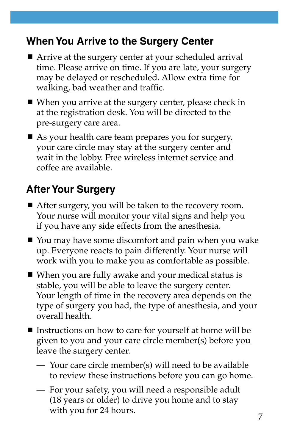## **When You Arrive to the Surgery Center**

- Arrive at the surgery center at your scheduled arrival time. Please arrive on time. If you are late, your surgery may be delayed or rescheduled. Allow extra time for walking, bad weather and traffic.
- When you arrive at the surgery center, please check in at the registration desk. You will be directed to the pre-surgery care area.
- As your health care team prepares you for surgery, your care circle may stay at the surgery center and wait in the lobby. Free wireless internet service and coffee are available.

# **After Your Surgery**

- After surgery, you will be taken to the recovery room. Your nurse will monitor your vital signs and help you if you have any side effects from the anesthesia.
- You may have some discomfort and pain when you wake up. Everyone reacts to pain differently. Your nurse will work with you to make you as comfortable as possible.
- When you are fully awake and your medical status is stable, you will be able to leave the surgery center. Your length of time in the recovery area depends on the type of surgery you had, the type of anesthesia, and your overall health.
- Instructions on how to care for yourself at home will be given to you and your care circle member(s) before you leave the surgery center.
	- Your care circle member(s) will need to be available to review these instructions before you can go home.
	- For your safety, you will need a responsible adult (18 years or older) to drive you home and to stay with you for 24 hours.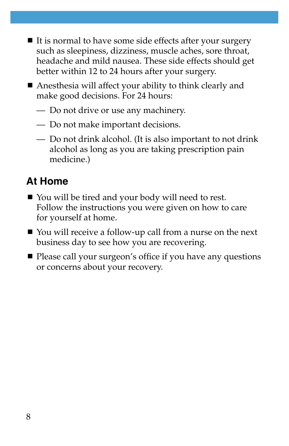- $\blacksquare$  It is normal to have some side effects after your surgery such as sleepiness, dizziness, muscle aches, sore throat, headache and mild nausea. These side effects should get better within 12 to 24 hours after your surgery.
- Anesthesia will affect your ability to think clearly and make good decisions. For 24 hours:
	- Do not drive or use any machinery.
	- Do not make important decisions.
	- Do not drink alcohol. (It is also important to not drink alcohol as long as you are taking prescription pain medicine.)

# **At Home**

- You will be tired and your body will need to rest. Follow the instructions you were given on how to care for yourself at home.
- You will receive a follow-up call from a nurse on the next business day to see how you are recovering.
- Please call your surgeon's office if you have any questions or concerns about your recovery.